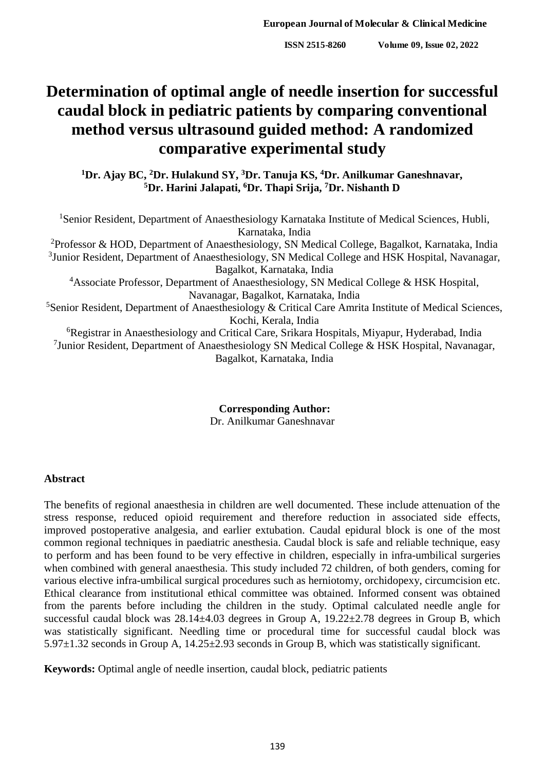# **Determination of optimal angle of needle insertion for successful caudal block in pediatric patients by comparing conventional method versus ultrasound guided method: A randomized comparative experimental study**

**<sup>1</sup>Dr. Ajay BC, <sup>2</sup>Dr. Hulakund SY, <sup>3</sup>Dr. Tanuja KS, <sup>4</sup>Dr. Anilkumar Ganeshnavar, <sup>5</sup>Dr. Harini Jalapati, <sup>6</sup>Dr. Thapi Srija, <sup>7</sup>Dr. Nishanth D**

<sup>1</sup>Senior Resident, Department of Anaesthesiology Karnataka Institute of Medical Sciences, Hubli, Karnataka, India <sup>2</sup>Professor & HOD, Department of Anaesthesiology, SN Medical College, Bagalkot, Karnataka, India <sup>3</sup>Junior Resident, Department of Anaesthesiology, SN Medical College and HSK Hospital, Navanagar, Bagalkot, Karnataka, India <sup>4</sup>Associate Professor, Department of Anaesthesiology, SN Medical College & HSK Hospital, Navanagar, Bagalkot, Karnataka, India <sup>5</sup>Senior Resident, Department of Anaesthesiology & Critical Care Amrita Institute of Medical Sciences, Kochi, Kerala, India <sup>6</sup>Registrar in Anaesthesiology and Critical Care, Srikara Hospitals, Miyapur, Hyderabad, India <sup>7</sup>Junior Resident, Department of Anaesthesiology SN Medical College & HSK Hospital, Navanagar, Bagalkot, Karnataka, India

> **Corresponding Author:** Dr. Anilkumar Ganeshnavar

#### **Abstract**

The benefits of regional anaesthesia in children are well documented. These include attenuation of the stress response, reduced opioid requirement and therefore reduction in associated side effects, improved postoperative analgesia, and earlier extubation. Caudal epidural block is one of the most common regional techniques in paediatric anesthesia. Caudal block is safe and reliable technique, easy to perform and has been found to be very effective in children, especially in infra-umbilical surgeries when combined with general anaesthesia. This study included 72 children, of both genders, coming for various elective infra-umbilical surgical procedures such as herniotomy, orchidopexy, circumcision etc. Ethical clearance from institutional ethical committee was obtained. Informed consent was obtained from the parents before including the children in the study. Optimal calculated needle angle for successful caudal block was  $28.14 \pm 4.03$  degrees in Group A,  $19.22 \pm 2.78$  degrees in Group B, which was statistically significant. Needling time or procedural time for successful caudal block was 5.97±1.32 seconds in Group A, 14.25±2.93 seconds in Group B, which was statistically significant.

**Keywords:** Optimal angle of needle insertion, caudal block, pediatric patients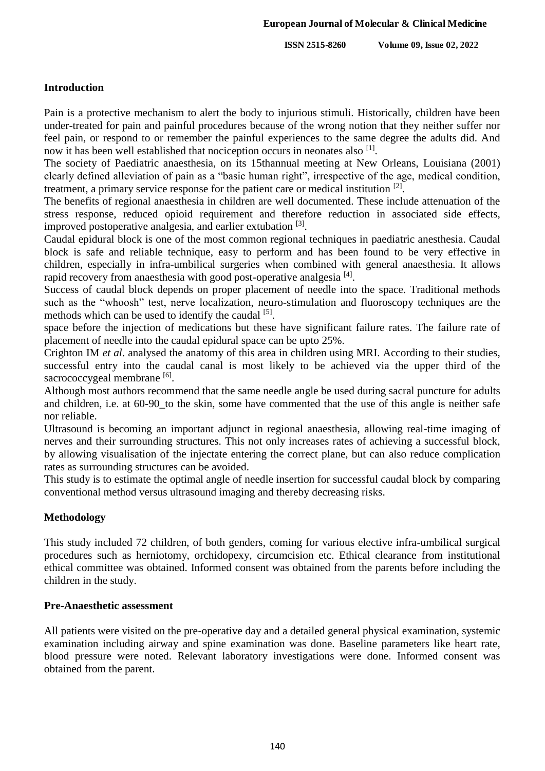## **Introduction**

Pain is a protective mechanism to alert the body to injurious stimuli. Historically, children have been under-treated for pain and painful procedures because of the wrong notion that they neither suffer nor feel pain, or respond to or remember the painful experiences to the same degree the adults did. And now it has been well established that nociception occurs in neonates also [1].

The society of Paediatric anaesthesia, on its 15thannual meeting at New Orleans, Louisiana (2001) clearly defined alleviation of pain as a "basic human right", irrespective of the age, medical condition, treatment, a primary service response for the patient care or medical institution [2].

The benefits of regional anaesthesia in children are well documented. These include attenuation of the stress response, reduced opioid requirement and therefore reduction in associated side effects, improved postoperative analgesia, and earlier extubation [3].

Caudal epidural block is one of the most common regional techniques in paediatric anesthesia. Caudal block is safe and reliable technique, easy to perform and has been found to be very effective in children, especially in infra-umbilical surgeries when combined with general anaesthesia. It allows rapid recovery from anaesthesia with good post-operative analgesia [4].

Success of caudal block depends on proper placement of needle into the space. Traditional methods such as the "whoosh" test, nerve localization, neuro-stimulation and fluoroscopy techniques are the methods which can be used to identify the caudal [5].

space before the injection of medications but these have significant failure rates. The failure rate of placement of needle into the caudal epidural space can be upto 25%.

Crighton IM *et al*. analysed the anatomy of this area in children using MRI. According to their studies, successful entry into the caudal canal is most likely to be achieved via the upper third of the sacrococcygeal membrane [6].

Although most authors recommend that the same needle angle be used during sacral puncture for adults and children, i.e. at 60-90\_to the skin, some have commented that the use of this angle is neither safe nor reliable.

Ultrasound is becoming an important adjunct in regional anaesthesia, allowing real-time imaging of nerves and their surrounding structures. This not only increases rates of achieving a successful block, by allowing visualisation of the injectate entering the correct plane, but can also reduce complication rates as surrounding structures can be avoided.

This study is to estimate the optimal angle of needle insertion for successful caudal block by comparing conventional method versus ultrasound imaging and thereby decreasing risks.

# **Methodology**

This study included 72 children, of both genders, coming for various elective infra-umbilical surgical procedures such as herniotomy, orchidopexy, circumcision etc. Ethical clearance from institutional ethical committee was obtained. Informed consent was obtained from the parents before including the children in the study.

## **Pre-Anaesthetic assessment**

All patients were visited on the pre-operative day and a detailed general physical examination, systemic examination including airway and spine examination was done. Baseline parameters like heart rate, blood pressure were noted. Relevant laboratory investigations were done. Informed consent was obtained from the parent.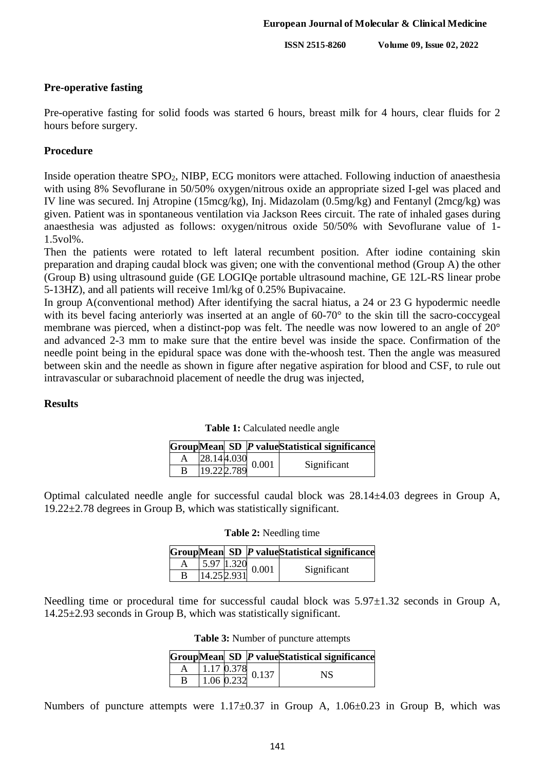### **Pre-operative fasting**

Pre-operative fasting for solid foods was started 6 hours, breast milk for 4 hours, clear fluids for 2 hours before surgery.

## **Procedure**

Inside operation theatre SPO2, NIBP, ECG monitors were attached. Following induction of anaesthesia with using 8% Sevoflurane in 50/50% oxygen/nitrous oxide an appropriate sized I-gel was placed and IV line was secured. Inj Atropine (15mcg/kg), Inj. Midazolam (0.5mg/kg) and Fentanyl (2mcg/kg) was given. Patient was in spontaneous ventilation via Jackson Rees circuit. The rate of inhaled gases during anaesthesia was adjusted as follows: oxygen/nitrous oxide 50/50% with Sevoflurane value of 1- 1.5vol%.

Then the patients were rotated to left lateral recumbent position. After iodine containing skin preparation and draping caudal block was given; one with the conventional method (Group A) the other (Group B) using ultrasound guide (GE LOGIQe portable ultrasound machine, GE 12L-RS linear probe 5-13HZ), and all patients will receive 1ml/kg of 0.25% Bupivacaine.

In group A(conventional method) After identifying the sacral hiatus, a 24 or 23 G hypodermic needle with its bevel facing anteriorly was inserted at an angle of 60-70° to the skin till the sacro-coccygeal membrane was pierced, when a distinct-pop was felt. The needle was now lowered to an angle of 20° and advanced 2-3 mm to make sure that the entire bevel was inside the space. Confirmation of the needle point being in the epidural space was done with the-whoosh test. Then the angle was measured between skin and the needle as shown in figure after negative aspiration for blood and CSF, to rule out intravascular or subarachnoid placement of needle the drug was injected,

#### **Results**

|   |             |                            | GroupMean SD P valueStatistical significance |
|---|-------------|----------------------------|----------------------------------------------|
|   |             | $\frac{28.144.030}{0.001}$ | Significant                                  |
| в | 19.22 2.789 |                            |                                              |

**Table 1:** Calculated needle angle

Optimal calculated needle angle for successful caudal block was 28.14±4.03 degrees in Group A,

19.22±2.78 degrees in Group B, which was statistically significant.

| Table 2: Needling time |  |  |  |
|------------------------|--|--|--|
|------------------------|--|--|--|

|   |  |                                 | GroupMean SD P valueStatistical significance |
|---|--|---------------------------------|----------------------------------------------|
|   |  | $\frac{5.97}{14.252.931}$ 0.001 | Significant                                  |
| B |  |                                 |                                              |

Needling time or procedural time for successful caudal block was 5.97±1.32 seconds in Group A, 14.25±2.93 seconds in Group B, which was statistically significant.

|   |  |                                               | GroupMean SD P valueStatistical significance |
|---|--|-----------------------------------------------|----------------------------------------------|
|   |  | $\frac{1.17}{1.06} \frac{0.378}{0.232} 0.137$ | NS                                           |
| В |  |                                               |                                              |

Numbers of puncture attempts were 1.17±0.37 in Group A, 1.06±0.23 in Group B, which was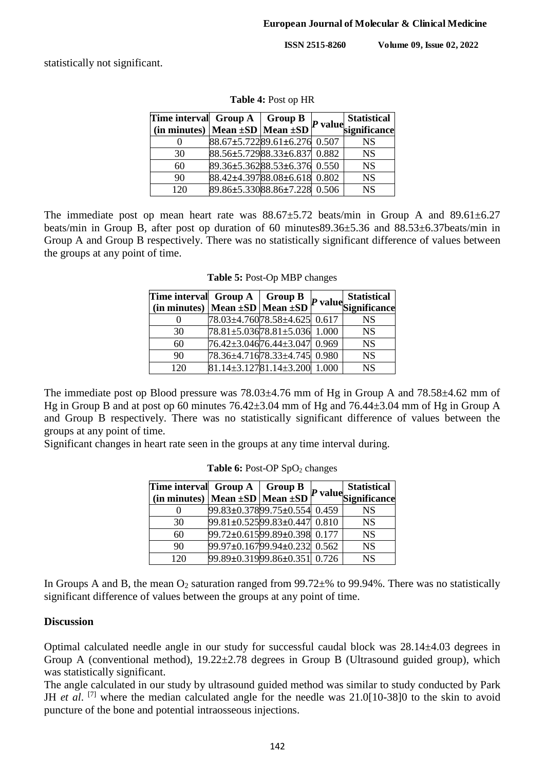statistically not significant.

| Time interval $Group A   Group B$        |                              |  | P value Statistical |
|------------------------------------------|------------------------------|--|---------------------|
| (in minutes) Mean $\pm SD$ Mean $\pm SD$ |                              |  |                     |
|                                          | 88.67±5.72289.61±6.276 0.507 |  | <b>NS</b>           |
| 30                                       | 88.56±5.72988.33±6.837 0.882 |  | <b>NS</b>           |
| 60                                       | 89.36±5.36288.53±6.376 0.550 |  | <b>NS</b>           |
| 90                                       | 88.42±4.39788.08±6.618 0.802 |  | <b>NS</b>           |
| 120                                      | 89.86±5.33088.86±7.228 0.506 |  | <b>NS</b>           |

**Table 4:** Post op HR

The immediate post op mean heart rate was  $88.67 \pm 5.72$  beats/min in Group A and  $89.61 \pm 6.27$ beats/min in Group B, after post op duration of 60 minutes89.36±5.36 and 88.53±6.37beats/min in Group A and Group B respectively. There was no statistically significant difference of values between the groups at any point of time.

| Time interval $Group A   Group B$               |                                        |  | <b>Statistical</b>            |
|-------------------------------------------------|----------------------------------------|--|-------------------------------|
| $\int$ (in minutes) Mean $\pm$ SD Mean $\pm$ SD |                                        |  | $\Omega_P$ value Significance |
|                                                 | 78.03±4.76078.58±4.625 0.617           |  | <b>NS</b>                     |
| 30                                              | $78.81 \pm 5.03678.81 \pm 5.03611.000$ |  | <b>NS</b>                     |
| 60                                              | 76.42±3.04676.44±3.047 0.969           |  | <b>NS</b>                     |
| 90                                              | 78.36±4.71678.33±4.745 0.980           |  | <b>NS</b>                     |
| 120                                             | $81.14 \pm 3.12781.14 \pm 3.200$ 1.000 |  | <b>NS</b>                     |

**Table 5:** Post-Op MBP changes

The immediate post op Blood pressure was 78.03±4.76 mm of Hg in Group A and 78.58±4.62 mm of Hg in Group B and at post op 60 minutes 76.42±3.04 mm of Hg and 76.44±3.04 mm of Hg in Group A and Group B respectively. There was no statistically significant difference of values between the groups at any point of time.

Significant changes in heart rate seen in the groups at any time interval during.

| Time interval $Group A   Group B$        |                              |  | <b>Statistical</b>   |
|------------------------------------------|------------------------------|--|----------------------|
| (in minutes) Mean $\pm SD$ Mean $\pm SD$ |                              |  | P value Significance |
|                                          | 99.83±0.37899.75±0.554 0.459 |  | NS                   |
| 30                                       | 99.81±0.52599.83±0.447 0.810 |  | <b>NS</b>            |
| 60                                       | 99.72±0.61599.89±0.398 0.177 |  | <b>NS</b>            |
| 90                                       | 99.97±0.16799.94±0.232 0.562 |  | <b>NS</b>            |
| 120                                      | 99.89±0.31999.86±0.351 0.726 |  | <b>NS</b>            |

Table 6: Post-OP SpO<sub>2</sub> changes

In Groups A and B, the mean  $O_2$  saturation ranged from 99.72 $\pm$ % to 99.94%. There was no statistically significant difference of values between the groups at any point of time.

## **Discussion**

Optimal calculated needle angle in our study for successful caudal block was 28.14±4.03 degrees in Group A (conventional method),  $19.22 \pm 2.78$  degrees in Group B (Ultrasound guided group), which was statistically significant.

The angle calculated in our study by ultrasound guided method was similar to study conducted by Park JH *et al.* <sup>[7]</sup> where the median calculated angle for the needle was 21.0[10-38]0 to the skin to avoid puncture of the bone and potential intraosseous injections.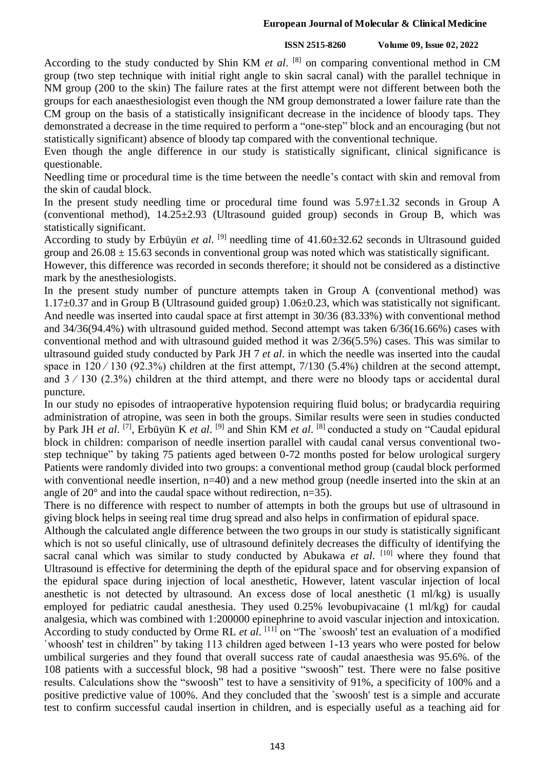#### **European Journal of Molecular & Clinical Medicine**

#### **ISSN 2515-8260 Volume 09, Issue 02, 2022**

According to the study conducted by Shin KM *et al*. [8] on comparing conventional method in CM group (two step technique with initial right angle to skin sacral canal) with the parallel technique in NM group (200 to the skin) The failure rates at the first attempt were not different between both the groups for each anaesthesiologist even though the NM group demonstrated a lower failure rate than the CM group on the basis of a statistically insignificant decrease in the incidence of bloody taps. They demonstrated a decrease in the time required to perform a "one-step" block and an encouraging (but not statistically significant) absence of bloody tap compared with the conventional technique.

Even though the angle difference in our study is statistically significant, clinical significance is questionable.

Needling time or procedural time is the time between the needle's contact with skin and removal from the skin of caudal block.

In the present study needling time or procedural time found was 5.97±1.32 seconds in Group A (conventional method),  $14.25 \pm 2.93$  (Ultrasound guided group) seconds in Group B, which was statistically significant.

According to study by Erbüyün et al. <sup>[9]</sup> needling time of 41.60±32.62 seconds in Ultrasound guided group and  $26.08 \pm 15.63$  seconds in conventional group was noted which was statistically significant.

However, this difference was recorded in seconds therefore; it should not be considered as a distinctive mark by the anesthesiologists.

In the present study number of puncture attempts taken in Group A (conventional method) was 1.17±0.37 and in Group B (Ultrasound guided group) 1.06±0.23, which was statistically not significant. And needle was inserted into caudal space at first attempt in 30/36 (83.33%) with conventional method and 34/36(94.4%) with ultrasound guided method. Second attempt was taken 6/36(16.66%) cases with conventional method and with ultrasound guided method it was 2/36(5.5%) cases. This was similar to ultrasound guided study conducted by Park JH 7 *et al*. in which the needle was inserted into the caudal space in  $120 / 130$  (92.3%) children at the first attempt, 7/130 (5.4%) children at the second attempt, and  $3 / 130$  (2.3%) children at the third attempt, and there were no bloody taps or accidental dural puncture.

In our study no episodes of intraoperative hypotension requiring fluid bolus; or bradycardia requiring administration of atropine, was seen in both the groups. Similar results were seen in studies conducted by Park JH *et al*.<sup>[7]</sup>, Erbüyün K *et al*.<sup>[9]</sup> and Shin KM *et al*.<sup>[8]</sup> conducted a study on "Caudal epidural block in children: comparison of needle insertion parallel with caudal canal versus conventional twostep technique" by taking 75 patients aged between 0-72 months posted for below urological surgery Patients were randomly divided into two groups: a conventional method group (caudal block performed with conventional needle insertion,  $n=40$ ) and a new method group (needle inserted into the skin at an angle of 20° and into the caudal space without redirection, n=35).

There is no difference with respect to number of attempts in both the groups but use of ultrasound in giving block helps in seeing real time drug spread and also helps in confirmation of epidural space.

Although the calculated angle difference between the two groups in our study is statistically significant which is not so useful clinically, use of ultrasound definitely decreases the difficulty of identifying the sacral canal which was similar to study conducted by Abukawa *et al*. [10] where they found that Ultrasound is effective for determining the depth of the epidural space and for observing expansion of the epidural space during injection of local anesthetic, However, latent vascular injection of local anesthetic is not detected by ultrasound. An excess dose of local anesthetic (1 ml/kg) is usually employed for pediatric caudal anesthesia. They used 0.25% levobupivacaine (1 ml/kg) for caudal analgesia, which was combined with 1:200000 epinephrine to avoid vascular injection and intoxication. According to study conducted by Orme RL *et al*. [11] on "The `swoosh' test an evaluation of a modified `whoosh' test in children" by taking 113 children aged between 1-13 years who were posted for below umbilical surgeries and they found that overall success rate of caudal anaesthesia was 95.6%. of the 108 patients with a successful block, 98 had a positive "swoosh" test. There were no false positive results. Calculations show the "swoosh" test to have a sensitivity of 91%, a specificity of 100% and a positive predictive value of 100%. And they concluded that the `swoosh' test is a simple and accurate test to confirm successful caudal insertion in children, and is especially useful as a teaching aid for